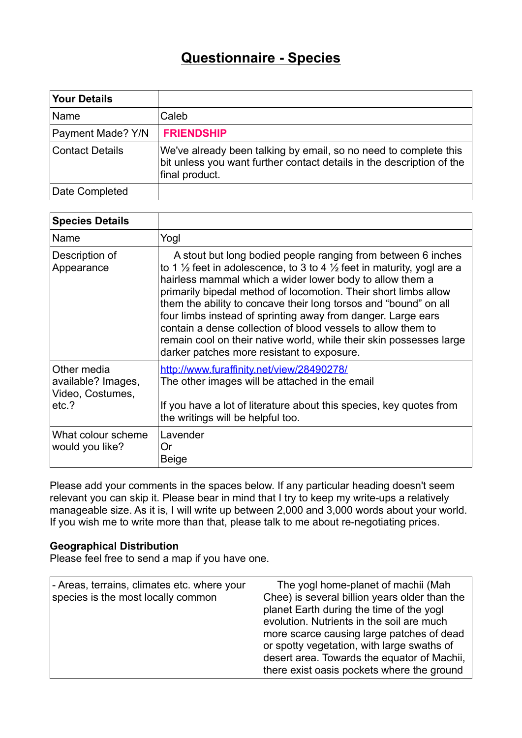# **Questionnaire - Species**

| <b>Your Details</b>    |                                                                                                                                                             |
|------------------------|-------------------------------------------------------------------------------------------------------------------------------------------------------------|
| Name                   | Caleb                                                                                                                                                       |
| Payment Made? Y/N      | <b>FRIENDSHIP</b>                                                                                                                                           |
| <b>Contact Details</b> | We've already been talking by email, so no need to complete this<br>bit unless you want further contact details in the description of the<br>final product. |
| Date Completed         |                                                                                                                                                             |

| <b>Species Details</b>                                         |                                                                                                                                                                                                                                                                                                                                                                                                                                                                                                                                                                                                                      |
|----------------------------------------------------------------|----------------------------------------------------------------------------------------------------------------------------------------------------------------------------------------------------------------------------------------------------------------------------------------------------------------------------------------------------------------------------------------------------------------------------------------------------------------------------------------------------------------------------------------------------------------------------------------------------------------------|
| Name                                                           | Yogl                                                                                                                                                                                                                                                                                                                                                                                                                                                                                                                                                                                                                 |
| Description of<br>Appearance                                   | A stout but long bodied people ranging from between 6 inches<br>to 1 $\frac{1}{2}$ feet in adolescence, to 3 to 4 $\frac{1}{2}$ feet in maturity, yogl are a<br>hairless mammal which a wider lower body to allow them a<br>primarily bipedal method of locomotion. Their short limbs allow<br>them the ability to concave their long torsos and "bound" on all<br>four limbs instead of sprinting away from danger. Large ears<br>contain a dense collection of blood vessels to allow them to<br>remain cool on their native world, while their skin possesses large<br>darker patches more resistant to exposure. |
| Other media<br>available? Images,<br>Video, Costumes,<br>etc.? | http://www.furaffinity.net/view/28490278/<br>The other images will be attached in the email<br>If you have a lot of literature about this species, key quotes from<br>the writings will be helpful too.                                                                                                                                                                                                                                                                                                                                                                                                              |
| What colour scheme<br>would you like?                          | Lavender<br>Or<br>Beige                                                                                                                                                                                                                                                                                                                                                                                                                                                                                                                                                                                              |

Please add your comments in the spaces below. If any particular heading doesn't seem relevant you can skip it. Please bear in mind that I try to keep my write-ups a relatively manageable size. As it is, I will write up between 2,000 and 3,000 words about your world. If you wish me to write more than that, please talk to me about re-negotiating prices.

## **Geographical Distribution**

Please feel free to send a map if you have one.

| - Areas, terrains, climates etc. where your<br>species is the most locally common | The yogl home-planet of machii (Mah<br>Chee) is several billion years older than the<br>planet Earth during the time of the yogl<br>evolution. Nutrients in the soil are much        |
|-----------------------------------------------------------------------------------|--------------------------------------------------------------------------------------------------------------------------------------------------------------------------------------|
|                                                                                   | more scarce causing large patches of dead<br>or spotty vegetation, with large swaths of<br>desert area. Towards the equator of Machii,<br>there exist oasis pockets where the ground |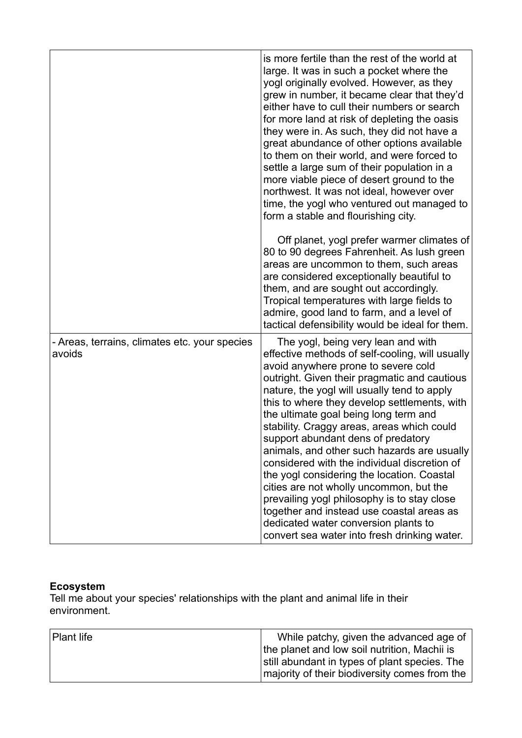|                                                         | is more fertile than the rest of the world at<br>large. It was in such a pocket where the<br>yogl originally evolved. However, as they<br>grew in number, it became clear that they'd<br>either have to cull their numbers or search<br>for more land at risk of depleting the oasis<br>they were in. As such, they did not have a<br>great abundance of other options available<br>to them on their world, and were forced to<br>settle a large sum of their population in a<br>more viable piece of desert ground to the<br>northwest. It was not ideal, however over<br>time, the yogl who ventured out managed to<br>form a stable and flourishing city.                                                                                                                         |
|---------------------------------------------------------|--------------------------------------------------------------------------------------------------------------------------------------------------------------------------------------------------------------------------------------------------------------------------------------------------------------------------------------------------------------------------------------------------------------------------------------------------------------------------------------------------------------------------------------------------------------------------------------------------------------------------------------------------------------------------------------------------------------------------------------------------------------------------------------|
|                                                         | Off planet, yogl prefer warmer climates of<br>80 to 90 degrees Fahrenheit. As lush green<br>areas are uncommon to them, such areas<br>are considered exceptionally beautiful to<br>them, and are sought out accordingly.<br>Tropical temperatures with large fields to<br>admire, good land to farm, and a level of<br>tactical defensibility would be ideal for them.                                                                                                                                                                                                                                                                                                                                                                                                               |
| - Areas, terrains, climates etc. your species<br>avoids | The yogl, being very lean and with<br>effective methods of self-cooling, will usually<br>avoid anywhere prone to severe cold<br>outright. Given their pragmatic and cautious<br>nature, the yogl will usually tend to apply<br>this to where they develop settlements, with<br>the ultimate goal being long term and<br>stability. Craggy areas, areas which could<br>support abundant dens of predatory<br>animals, and other such hazards are usually<br>considered with the individual discretion of<br>the yogl considering the location. Coastal<br>cities are not wholly uncommon, but the<br>prevailing yogl philosophy is to stay close<br>together and instead use coastal areas as<br>dedicated water conversion plants to<br>convert sea water into fresh drinking water. |

### **Ecosystem**

Tell me about your species' relationships with the plant and animal life in their environment.

| <b>Plant life</b> | While patchy, given the advanced age of<br>the planet and low soil nutrition, Machii is        |
|-------------------|------------------------------------------------------------------------------------------------|
|                   | still abundant in types of plant species. The<br>majority of their biodiversity comes from the |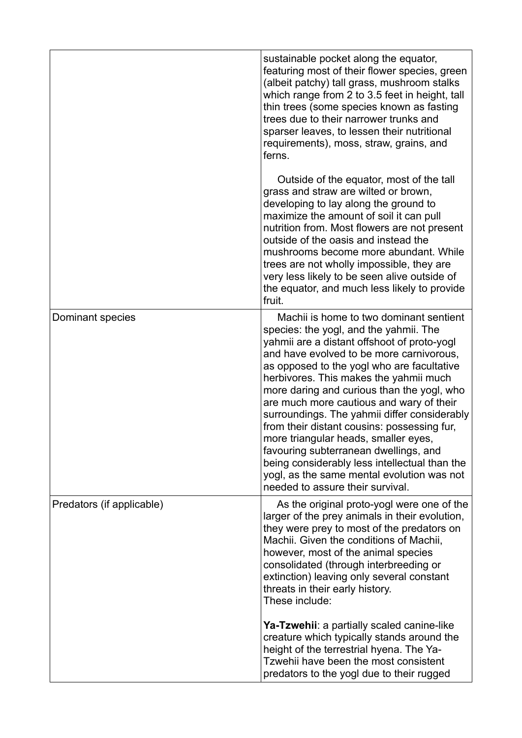|                           | sustainable pocket along the equator,<br>featuring most of their flower species, green<br>(albeit patchy) tall grass, mushroom stalks<br>which range from 2 to 3.5 feet in height, tall<br>thin trees (some species known as fasting<br>trees due to their narrower trunks and<br>sparser leaves, to lessen their nutritional<br>requirements), moss, straw, grains, and<br>ferns.                                                                                                                                                                                                                                                                                               |
|---------------------------|----------------------------------------------------------------------------------------------------------------------------------------------------------------------------------------------------------------------------------------------------------------------------------------------------------------------------------------------------------------------------------------------------------------------------------------------------------------------------------------------------------------------------------------------------------------------------------------------------------------------------------------------------------------------------------|
|                           | Outside of the equator, most of the tall<br>grass and straw are wilted or brown,<br>developing to lay along the ground to<br>maximize the amount of soil it can pull<br>nutrition from. Most flowers are not present<br>outside of the oasis and instead the<br>mushrooms become more abundant. While<br>trees are not wholly impossible, they are<br>very less likely to be seen alive outside of<br>the equator, and much less likely to provide<br>fruit.                                                                                                                                                                                                                     |
| Dominant species          | Machii is home to two dominant sentient<br>species: the yogl, and the yahmii. The<br>yahmii are a distant offshoot of proto-yogl<br>and have evolved to be more carnivorous,<br>as opposed to the yogl who are facultative<br>herbivores. This makes the yahmii much<br>more daring and curious than the yogl, who<br>are much more cautious and wary of their<br>surroundings. The yahmii differ considerably<br>from their distant cousins: possessing fur,<br>more triangular heads, smaller eyes<br>favouring subterranean dwellings, and<br>being considerably less intellectual than the<br>yogl, as the same mental evolution was not<br>needed to assure their survival. |
| Predators (if applicable) | As the original proto-yogl were one of the<br>larger of the prey animals in their evolution,<br>they were prey to most of the predators on<br>Machii. Given the conditions of Machii,<br>however, most of the animal species<br>consolidated (through interbreeding or<br>extinction) leaving only several constant<br>threats in their early history.<br>These include:                                                                                                                                                                                                                                                                                                         |
|                           | Ya-Tzwehii: a partially scaled canine-like<br>creature which typically stands around the<br>height of the terrestrial hyena. The Ya-<br>Tzwehii have been the most consistent<br>predators to the yogl due to their rugged                                                                                                                                                                                                                                                                                                                                                                                                                                                       |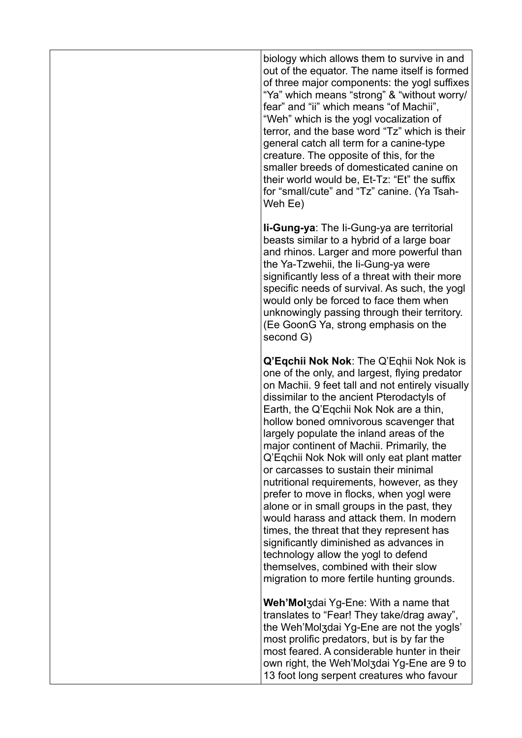biology which allows them to survive in and out of the equator. The name itself is formed of three major components: the yogl suffixes "Ya" which means "strong" & "without worry/ fear" and "ii" which means "of Machii", "Weh" which is the yogl vocalization of terror, and the base word "Tz" which is their general catch all term for a canine-type creature. The opposite of this, for the smaller breeds of domesticated canine on their world would be,  $Et-Tz$  "Ft" the suffix for "small/cute" and "Tz" canine. (Ya Tsah-Weh Ee)

**Ii-Gung-ya**: The Ii-Gung-ya are territorial beasts similar to a hybrid of a large boar and rhinos. Larger and more powerful than the Ya-Tzwehii, the Ii-Gung-ya were significantly less of a threat with their more specific needs of survival. As such, the yogl would only be forced to face them when unknowingly passing through their territory. (Ee GoonG Ya, strong emphasis on the second G)

**Q'Eqchii Nok Nok**: The Q'Eqhii Nok Nok is one of the only, and largest, flying predator on Machii. 9 feet tall and not entirely visually dissimilar to the ancient Pterodactyls of Earth, the Q'Eqchii Nok Nok are a thin, hollow boned omnivorous scavenger that largely populate the inland areas of the major continent of Machii. Primarily, the Q'Eqchii Nok Nok will only eat plant matter or carcasses to sustain their minimal nutritional requirements, however, as they prefer to move in flocks, when yogl were alone or in small groups in the past, they would harass and attack them. In modern times, the threat that they represent has significantly diminished as advances in technology allow the yogl to defend themselves, combined with their slow migration to more fertile hunting grounds.

**Weh'Mol**ʒdai Yg-Ene: With a name that translates to "Fear! They take/drag away", the Weh'Molʒdai Yg-Ene are not the yogls' most prolific predators, but is by far the most feared. A considerable hunter in their own right, the Weh'Molʒdai Yg-Ene are 9 to 13 foot long serpent creatures who favour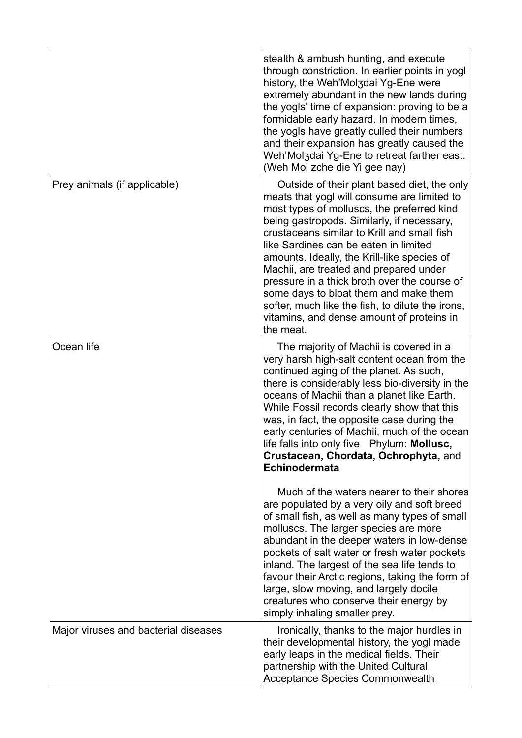|                                      | stealth & ambush hunting, and execute<br>through constriction. In earlier points in yogl<br>history, the Weh'Mol3dai Yg-Ene were<br>extremely abundant in the new lands during<br>the yogls' time of expansion: proving to be a<br>formidable early hazard. In modern times,<br>the yogls have greatly culled their numbers<br>and their expansion has greatly caused the<br>Weh'Mol3dai Yg-Ene to retreat farther east.<br>(Weh Mol zche die Yi gee nay)                                                                                                                      |
|--------------------------------------|--------------------------------------------------------------------------------------------------------------------------------------------------------------------------------------------------------------------------------------------------------------------------------------------------------------------------------------------------------------------------------------------------------------------------------------------------------------------------------------------------------------------------------------------------------------------------------|
| Prey animals (if applicable)         | Outside of their plant based diet, the only<br>meats that yogl will consume are limited to<br>most types of molluscs, the preferred kind<br>being gastropods. Similarly, if necessary,<br>crustaceans similar to Krill and small fish<br>like Sardines can be eaten in limited<br>amounts. Ideally, the Krill-like species of<br>Machii, are treated and prepared under<br>pressure in a thick broth over the course of<br>some days to bloat them and make them<br>softer, much like the fish, to dilute the irons,<br>vitamins, and dense amount of proteins in<br>the meat. |
| Ocean life                           | The majority of Machii is covered in a<br>very harsh high-salt content ocean from the<br>continued aging of the planet. As such,<br>there is considerably less bio-diversity in the<br>oceans of Machii than a planet like Earth.<br>While Fossil records clearly show that this<br>was, in fact, the opposite case during the<br>early centuries of Machii, much of the ocean<br>life falls into only five Phylum: Mollusc,<br>Crustacean, Chordata, Ochrophyta, and<br>Echinodermata                                                                                         |
|                                      | Much of the waters nearer to their shores<br>are populated by a very oily and soft breed<br>of small fish, as well as many types of small<br>molluscs. The larger species are more<br>abundant in the deeper waters in low-dense<br>pockets of salt water or fresh water pockets<br>inland. The largest of the sea life tends to<br>favour their Arctic regions, taking the form of<br>large, slow moving, and largely docile<br>creatures who conserve their energy by<br>simply inhaling smaller prey.                                                                       |
| Major viruses and bacterial diseases | Ironically, thanks to the major hurdles in<br>their developmental history, the yogl made<br>early leaps in the medical fields. Their<br>partnership with the United Cultural<br><b>Acceptance Species Commonwealth</b>                                                                                                                                                                                                                                                                                                                                                         |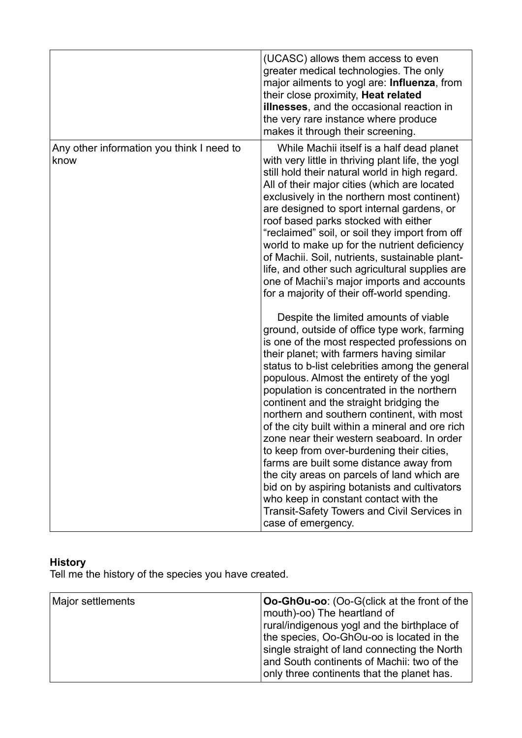|                                                   | (UCASC) allows them access to even<br>greater medical technologies. The only<br>major ailments to yogl are: Influenza, from<br>their close proximity, Heat related<br><b>illnesses</b> , and the occasional reaction in<br>the very rare instance where produce<br>makes it through their screening.                                                                                                                                                                                                                                                                                                                                                                                                                                                                                                                                                                                                                                                                                                                                                                                                                                                                                                                                                                                                                                                                                                                                                |
|---------------------------------------------------|-----------------------------------------------------------------------------------------------------------------------------------------------------------------------------------------------------------------------------------------------------------------------------------------------------------------------------------------------------------------------------------------------------------------------------------------------------------------------------------------------------------------------------------------------------------------------------------------------------------------------------------------------------------------------------------------------------------------------------------------------------------------------------------------------------------------------------------------------------------------------------------------------------------------------------------------------------------------------------------------------------------------------------------------------------------------------------------------------------------------------------------------------------------------------------------------------------------------------------------------------------------------------------------------------------------------------------------------------------------------------------------------------------------------------------------------------------|
| Any other information you think I need to<br>know | While Machii itself is a half dead planet<br>with very little in thriving plant life, the yogl<br>still hold their natural world in high regard.<br>All of their major cities (which are located<br>exclusively in the northern most continent)<br>are designed to sport internal gardens, or<br>roof based parks stocked with either<br>"reclaimed" soil, or soil they import from off<br>world to make up for the nutrient deficiency<br>of Machii. Soil, nutrients, sustainable plant-<br>life, and other such agricultural supplies are<br>one of Machii's major imports and accounts<br>for a majority of their off-world spending.<br>Despite the limited amounts of viable<br>ground, outside of office type work, farming<br>is one of the most respected professions on<br>their planet; with farmers having similar<br>status to b-list celebrities among the general<br>populous. Almost the entirety of the yogl<br>population is concentrated in the northern<br>continent and the straight bridging the<br>northern and southern continent, with most<br>of the city built within a mineral and ore rich<br>zone near their western seaboard. In order<br>to keep from over-burdening their cities,<br>farms are built some distance away from<br>the city areas on parcels of land which are<br>bid on by aspiring botanists and cultivators<br>who keep in constant contact with the<br>Transit-Safety Towers and Civil Services in |
|                                                   | case of emergency.                                                                                                                                                                                                                                                                                                                                                                                                                                                                                                                                                                                                                                                                                                                                                                                                                                                                                                                                                                                                                                                                                                                                                                                                                                                                                                                                                                                                                                  |

### **History**

Tell me the history of the species you have created.

| Major settlements | Oo-GhOu-oo: (Oo-G(click at the front of the<br>mouth)-oo) The heartland of<br>rural/indigenous yogl and the birthplace of<br>the species, Oo-GhOu-oo is located in the<br>single straight of land connecting the North<br>and South continents of Machii: two of the<br>only three continents that the planet has. |
|-------------------|--------------------------------------------------------------------------------------------------------------------------------------------------------------------------------------------------------------------------------------------------------------------------------------------------------------------|
|-------------------|--------------------------------------------------------------------------------------------------------------------------------------------------------------------------------------------------------------------------------------------------------------------------------------------------------------------|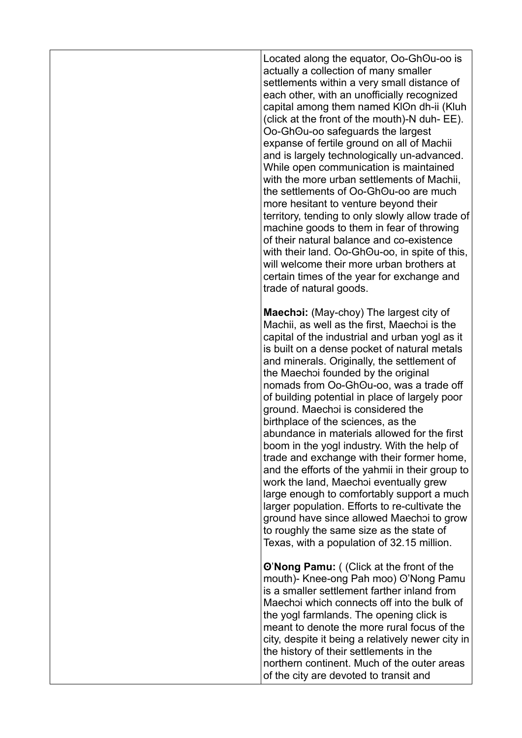Located along the equator, Oo-GhOu-oo is actually a collection of many smaller settlements within a very small distance of each other, with an unofficially recognized capital among them named KIOn dh-ii (Kluh (click at the front of the mouth)-N duh- EE). Oo-Ghʘu-oo safeguards the largest expanse of fertile ground on all of Machii and is largely technologically un-advanced. While open communication is maintained with the more urban settlements of Machii the settlements of Oo-GhOu-oo are much more hesitant to venture beyond their territory, tending to only slowly allow trade of machine goods to them in fear of throwing of their natural balance and co-existence with their land. Oo-GhOu-oo, in spite of this, will welcome their more urban brothers at certain times of the year for exchange and trade of natural goods.

**Maechɔi:** (May-choy) The largest city of Machii, as well as the first, Maechɔi is the capital of the industrial and urban yogl as it is built on a dense pocket of natural metals and minerals. Originally, the settlement of the Maechɔi founded by the original nomads from Oo-GhOu-oo, was a trade off of building potential in place of largely poor ground. Maechɔi is considered the birthplace of the sciences, as the abundance in materials allowed for the first boom in the yogl industry. With the help of trade and exchange with their former home, and the efforts of the yahmii in their group to work the land, Maechɔi eventually grew large enough to comfortably support a much larger population. Efforts to re-cultivate the ground have since allowed Maechɔi to grow to roughly the same size as the state of Texas, with a population of 32.15 million.

**ʘ**'**Nong Pamu:** ( (Click at the front of the mouth)- Knee-ong Pah moo) O'Nong Pamu is a smaller settlement farther inland from Maechɔi which connects off into the bulk of the yogl farmlands. The opening click is meant to denote the more rural focus of the city, despite it being a relatively newer city in the history of their settlements in the northern continent. Much of the outer areas of the city are devoted to transit and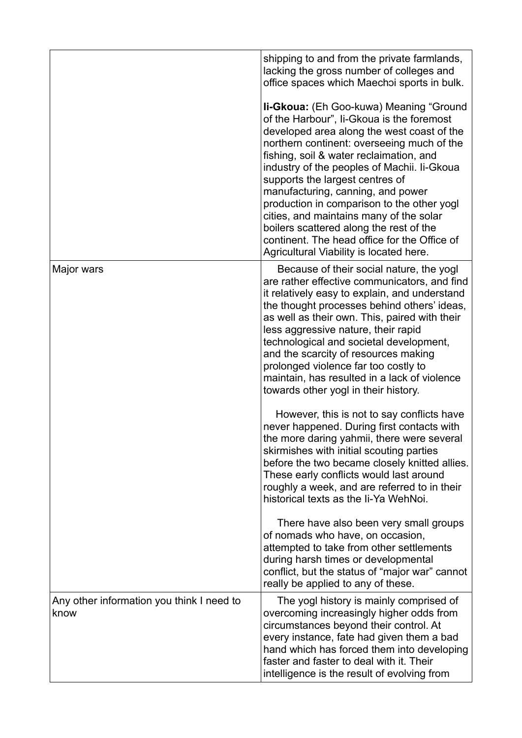|                                                   | shipping to and from the private farmlands,<br>lacking the gross number of colleges and<br>office spaces which Maechoi sports in bulk.                                                                                                                                                                                                                                                                                                                                                                                                                                                   |
|---------------------------------------------------|------------------------------------------------------------------------------------------------------------------------------------------------------------------------------------------------------------------------------------------------------------------------------------------------------------------------------------------------------------------------------------------------------------------------------------------------------------------------------------------------------------------------------------------------------------------------------------------|
|                                                   | <b>Ii-Gkoua:</b> (Eh Goo-kuwa) Meaning "Ground<br>of the Harbour", Ii-Gkoua is the foremost<br>developed area along the west coast of the<br>northern continent: overseeing much of the<br>fishing, soil & water reclaimation, and<br>industry of the peoples of Machii. Ii-Gkoua<br>supports the largest centres of<br>manufacturing, canning, and power<br>production in comparison to the other yogl<br>cities, and maintains many of the solar<br>boilers scattered along the rest of the<br>continent. The head office for the Office of<br>Agricultural Viability is located here. |
| Major wars                                        | Because of their social nature, the yogl<br>are rather effective communicators, and find<br>it relatively easy to explain, and understand<br>the thought processes behind others' ideas,<br>as well as their own. This, paired with their<br>less aggressive nature, their rapid<br>technological and societal development,<br>and the scarcity of resources making<br>prolonged violence far too costly to<br>maintain, has resulted in a lack of violence<br>towards other yogl in their history.                                                                                      |
|                                                   | However, this is not to say conflicts have<br>never happened. During first contacts with<br>the more daring yahmii, there were several<br>skirmishes with initial scouting parties<br>before the two became closely knitted allies.<br>These early conflicts would last around<br>roughly a week, and are referred to in their<br>historical texts as the Ii-Ya WehNoi.                                                                                                                                                                                                                  |
|                                                   | There have also been very small groups<br>of nomads who have, on occasion,<br>attempted to take from other settlements<br>during harsh times or developmental<br>conflict, but the status of "major war" cannot<br>really be applied to any of these.                                                                                                                                                                                                                                                                                                                                    |
| Any other information you think I need to<br>know | The yogl history is mainly comprised of<br>overcoming increasingly higher odds from<br>circumstances beyond their control. At<br>every instance, fate had given them a bad<br>hand which has forced them into developing<br>faster and faster to deal with it. Their<br>intelligence is the result of evolving from                                                                                                                                                                                                                                                                      |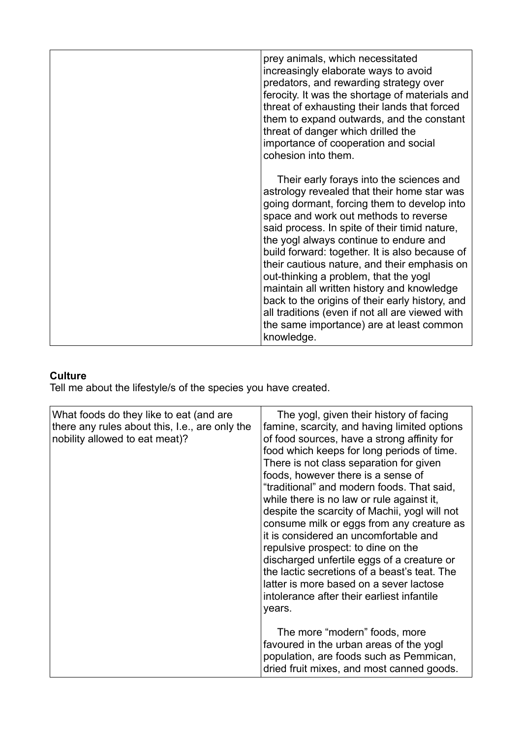| prey animals, which necessitated<br>increasingly elaborate ways to avoid<br>predators, and rewarding strategy over<br>ferocity. It was the shortage of materials and<br>threat of exhausting their lands that forced<br>them to expand outwards, and the constant<br>threat of danger which drilled the<br>importance of cooperation and social<br>cohesion into them.                                                                                                                                                                                                                                                              |
|-------------------------------------------------------------------------------------------------------------------------------------------------------------------------------------------------------------------------------------------------------------------------------------------------------------------------------------------------------------------------------------------------------------------------------------------------------------------------------------------------------------------------------------------------------------------------------------------------------------------------------------|
| Their early forays into the sciences and<br>astrology revealed that their home star was<br>going dormant, forcing them to develop into<br>space and work out methods to reverse<br>said process. In spite of their timid nature,<br>the yogl always continue to endure and<br>build forward: together. It is also because of<br>their cautious nature, and their emphasis on<br>out-thinking a problem, that the yogl<br>maintain all written history and knowledge<br>back to the origins of their early history, and<br>all traditions (even if not all are viewed with<br>the same importance) are at least common<br>knowledge. |

## **Culture**

Tell me about the lifestyle/s of the species you have created.

| What foods do they like to eat (and are<br>there any rules about this, I.e., are only the<br>nobility allowed to eat meat)? | The yogl, given their history of facing<br>famine, scarcity, and having limited options<br>of food sources, have a strong affinity for<br>food which keeps for long periods of time.<br>There is not class separation for given<br>foods, however there is a sense of<br>"traditional" and modern foods. That said,<br>while there is no law or rule against it,<br>despite the scarcity of Machii, yogl will not<br>consume milk or eggs from any creature as<br>it is considered an uncomfortable and<br>repulsive prospect: to dine on the<br>discharged unfertile eggs of a creature or<br>the lactic secretions of a beast's teat. The<br>latter is more based on a sever lactose<br>intolerance after their earliest infantile<br>years. |
|-----------------------------------------------------------------------------------------------------------------------------|------------------------------------------------------------------------------------------------------------------------------------------------------------------------------------------------------------------------------------------------------------------------------------------------------------------------------------------------------------------------------------------------------------------------------------------------------------------------------------------------------------------------------------------------------------------------------------------------------------------------------------------------------------------------------------------------------------------------------------------------|
|                                                                                                                             | The more "modern" foods, more<br>favoured in the urban areas of the yogl<br>population, are foods such as Pemmican,<br>dried fruit mixes, and most canned goods.                                                                                                                                                                                                                                                                                                                                                                                                                                                                                                                                                                               |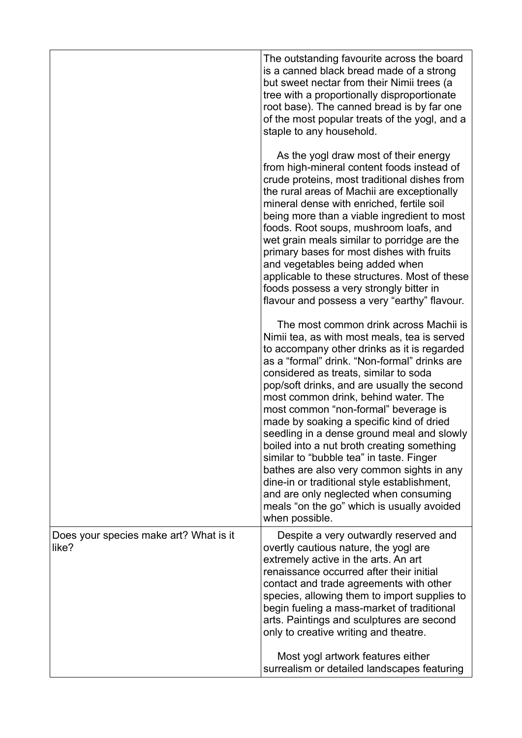|                                                 | The outstanding favourite across the board<br>is a canned black bread made of a strong<br>but sweet nectar from their Nimii trees (a<br>tree with a proportionally disproportionate<br>root base). The canned bread is by far one<br>of the most popular treats of the yogl, and a<br>staple to any household.                                                                                                                                                                                                                                                                                                                                                                                                                                         |
|-------------------------------------------------|--------------------------------------------------------------------------------------------------------------------------------------------------------------------------------------------------------------------------------------------------------------------------------------------------------------------------------------------------------------------------------------------------------------------------------------------------------------------------------------------------------------------------------------------------------------------------------------------------------------------------------------------------------------------------------------------------------------------------------------------------------|
|                                                 | As the yogl draw most of their energy<br>from high-mineral content foods instead of<br>crude proteins, most traditional dishes from<br>the rural areas of Machii are exceptionally<br>mineral dense with enriched, fertile soil<br>being more than a viable ingredient to most<br>foods. Root soups, mushroom loafs, and<br>wet grain meals similar to porridge are the<br>primary bases for most dishes with fruits<br>and vegetables being added when<br>applicable to these structures. Most of these<br>foods possess a very strongly bitter in<br>flavour and possess a very "earthy" flavour.                                                                                                                                                    |
|                                                 | The most common drink across Machii is<br>Nimii tea, as with most meals, tea is served<br>to accompany other drinks as it is regarded<br>as a "formal" drink. "Non-formal" drinks are<br>considered as treats, similar to soda<br>pop/soft drinks, and are usually the second<br>most common drink, behind water. The<br>most common "non-formal" beverage is<br>made by soaking a specific kind of dried<br>seedling in a dense ground meal and slowly<br>boiled into a nut broth creating something<br>similar to "bubble tea" in taste. Finger<br>bathes are also very common sights in any<br>dine-in or traditional style establishment,<br>and are only neglected when consuming<br>meals "on the go" which is usually avoided<br>when possible. |
| Does your species make art? What is it<br>like? | Despite a very outwardly reserved and<br>overtly cautious nature, the yogl are<br>extremely active in the arts. An art<br>renaissance occurred after their initial<br>contact and trade agreements with other<br>species, allowing them to import supplies to<br>begin fueling a mass-market of traditional<br>arts. Paintings and sculptures are second<br>only to creative writing and theatre.                                                                                                                                                                                                                                                                                                                                                      |
|                                                 | Most yogl artwork features either<br>surrealism or detailed landscapes featuring                                                                                                                                                                                                                                                                                                                                                                                                                                                                                                                                                                                                                                                                       |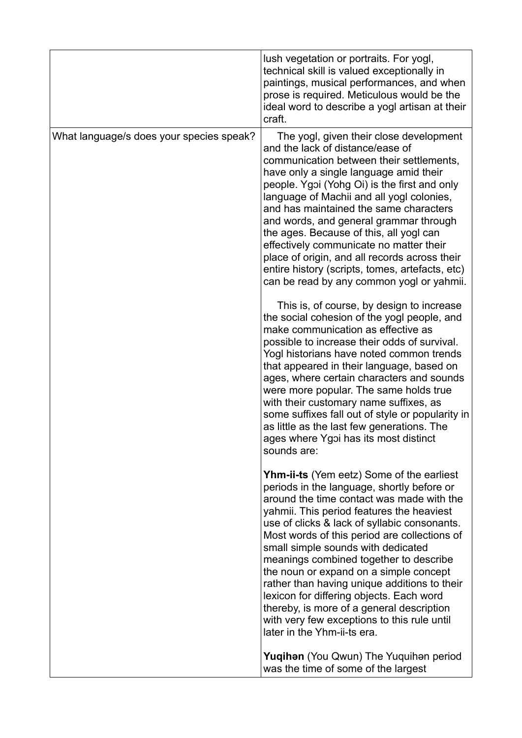|                                          | lush vegetation or portraits. For yogl,<br>technical skill is valued exceptionally in<br>paintings, musical performances, and when<br>prose is required. Meticulous would be the<br>ideal word to describe a yogl artisan at their<br>craft.                                                                                                                                                                                                                                                                                                                                                                                                                                                                                                                                                                                                                                                                      |
|------------------------------------------|-------------------------------------------------------------------------------------------------------------------------------------------------------------------------------------------------------------------------------------------------------------------------------------------------------------------------------------------------------------------------------------------------------------------------------------------------------------------------------------------------------------------------------------------------------------------------------------------------------------------------------------------------------------------------------------------------------------------------------------------------------------------------------------------------------------------------------------------------------------------------------------------------------------------|
| What language/s does your species speak? | The yogl, given their close development<br>and the lack of distance/ease of<br>communication between their settlements,<br>have only a single language amid their<br>people. Ygoi (Yohg Oi) is the first and only<br>language of Machii and all yogl colonies,<br>and has maintained the same characters<br>and words, and general grammar through<br>the ages. Because of this, all yogl can<br>effectively communicate no matter their<br>place of origin, and all records across their<br>entire history (scripts, tomes, artefacts, etc)<br>can be read by any common yogl or yahmii.<br>This is, of course, by design to increase<br>the social cohesion of the yogl people, and<br>make communication as effective as<br>possible to increase their odds of survival.<br>Yogl historians have noted common trends<br>that appeared in their language, based on<br>ages, where certain characters and sounds |
|                                          | were more popular. The same holds true<br>with their customary name suffixes, as<br>some suffixes fall out of style or popularity in<br>as little as the last few generations. The<br>ages where Ygoi has its most distinct<br>sounds are:                                                                                                                                                                                                                                                                                                                                                                                                                                                                                                                                                                                                                                                                        |
|                                          | <b>Yhm-ii-ts</b> (Yem eetz) Some of the earliest<br>periods in the language, shortly before or<br>around the time contact was made with the<br>yahmii. This period features the heaviest<br>use of clicks & lack of syllabic consonants.<br>Most words of this period are collections of<br>small simple sounds with dedicated<br>meanings combined together to describe<br>the noun or expand on a simple concept<br>rather than having unique additions to their<br>lexicon for differing objects. Each word<br>thereby, is more of a general description<br>with very few exceptions to this rule until<br>later in the Yhm-ii-ts era.                                                                                                                                                                                                                                                                         |
|                                          | <b>Yuqihan</b> (You Qwun) The Yuquihan period<br>was the time of some of the largest                                                                                                                                                                                                                                                                                                                                                                                                                                                                                                                                                                                                                                                                                                                                                                                                                              |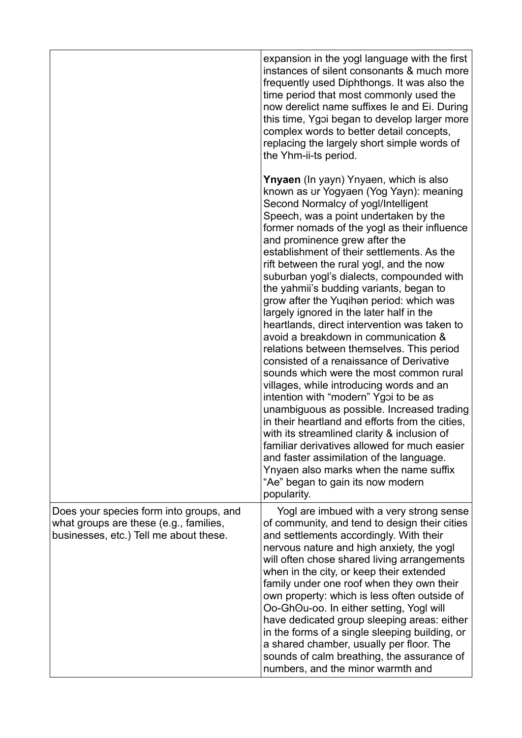|                                                                                                                             | expansion in the yogl language with the first<br>instances of silent consonants & much more<br>frequently used Diphthongs. It was also the<br>time period that most commonly used the<br>now derelict name suffixes le and Ei. During<br>this time, Ygoi began to develop larger more<br>complex words to better detail concepts,<br>replacing the largely short simple words of<br>the Yhm-ii-ts period.                                                                                                                                                                                                                                                                                                                                                                                                                                                                                                                                                                                                                                                                                                                                                                                      |
|-----------------------------------------------------------------------------------------------------------------------------|------------------------------------------------------------------------------------------------------------------------------------------------------------------------------------------------------------------------------------------------------------------------------------------------------------------------------------------------------------------------------------------------------------------------------------------------------------------------------------------------------------------------------------------------------------------------------------------------------------------------------------------------------------------------------------------------------------------------------------------------------------------------------------------------------------------------------------------------------------------------------------------------------------------------------------------------------------------------------------------------------------------------------------------------------------------------------------------------------------------------------------------------------------------------------------------------|
|                                                                                                                             | <b>Ynyaen</b> (In yayn) Ynyaen, which is also<br>known as ur Yogyaen (Yog Yayn): meaning<br>Second Normalcy of yogl/Intelligent<br>Speech, was a point undertaken by the<br>former nomads of the yogl as their influence<br>and prominence grew after the<br>establishment of their settlements. As the<br>rift between the rural yogl, and the now<br>suburban yogl's dialects, compounded with<br>the yahmii's budding variants, began to<br>grow after the Yuqihan period: which was<br>largely ignored in the later half in the<br>heartlands, direct intervention was taken to<br>avoid a breakdown in communication &<br>relations between themselves. This period<br>consisted of a renaissance of Derivative<br>sounds which were the most common rural<br>villages, while introducing words and an<br>intention with "modern" Ygoi to be as<br>unambiguous as possible. Increased trading<br>in their heartland and efforts from the cities,<br>with its streamlined clarity & inclusion of<br>familiar derivatives allowed for much easier<br>and faster assimilation of the language.<br>Ynyaen also marks when the name suffix<br>"Ae" began to gain its now modern<br>popularity. |
| Does your species form into groups, and<br>what groups are these (e.g., families,<br>businesses, etc.) Tell me about these. | Yogl are imbued with a very strong sense<br>of community, and tend to design their cities<br>and settlements accordingly. With their<br>nervous nature and high anxiety, the yogl<br>will often chose shared living arrangements<br>when in the city, or keep their extended<br>family under one roof when they own their<br>own property: which is less often outside of<br>Oo-GhOu-oo. In either setting, Yogl will<br>have dedicated group sleeping areas: either<br>in the forms of a single sleeping building, or<br>a shared chamber, usually per floor. The<br>sounds of calm breathing, the assurance of<br>numbers, and the minor warmth and                                                                                                                                                                                                                                                                                                                                                                                                                                                                                                                                          |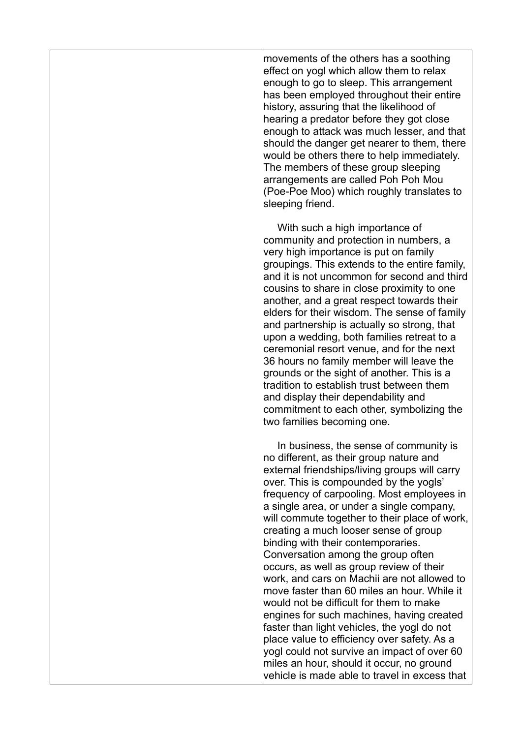movements of the others has a soothing effect on yogl which allow them to relax enough to go to sleep. This arrangement has been employed throughout their entire history, assuring that the likelihood of hearing a predator before they got close enough to attack was much lesser, and that should the danger get nearer to them, there would be others there to help immediately. The members of these group sleeping arrangements are called Poh Poh Mou (Poe-Poe Moo) which roughly translates to sleeping friend.

With such a high importance of community and protection in numbers, a very high importance is put on family groupings. This extends to the entire family, and it is not uncommon for second and third cousins to share in close proximity to one another, and a great respect towards their elders for their wisdom. The sense of family and partnership is actually so strong, that upon a wedding, both families retreat to a ceremonial resort venue, and for the next 36 hours no family member will leave the grounds or the sight of another. This is a tradition to establish trust between them and display their dependability and commitment to each other, symbolizing the two families becoming one.

      In business, the sense of community is no different, as their group nature and external friendships/living groups will carry over. This is compounded by the yogls' frequency of carpooling. Most employees in a single area, or under a single company, will commute together to their place of work, creating a much looser sense of group binding with their contemporaries. Conversation among the group often occurs, as well as group review of their work, and cars on Machii are not allowed to move faster than 60 miles an hour. While it would not be difficult for them to make engines for such machines, having created faster than light vehicles, the yogl do not place value to efficiency over safety. As a yogl could not survive an impact of over 60 miles an hour, should it occur, no ground vehicle is made able to travel in excess that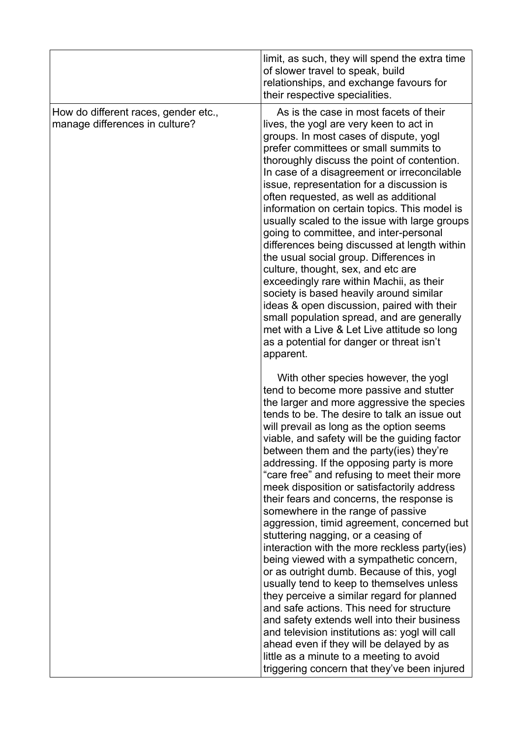|                                                                        | limit, as such, they will spend the extra time<br>of slower travel to speak, build<br>relationships, and exchange favours for<br>their respective specialities.                                                                                                                                                                                                                                                                                                                                                                                                                                                                                                                                                                                                                                                                                                                                                                                                                                                                                                                                                                                                    |
|------------------------------------------------------------------------|--------------------------------------------------------------------------------------------------------------------------------------------------------------------------------------------------------------------------------------------------------------------------------------------------------------------------------------------------------------------------------------------------------------------------------------------------------------------------------------------------------------------------------------------------------------------------------------------------------------------------------------------------------------------------------------------------------------------------------------------------------------------------------------------------------------------------------------------------------------------------------------------------------------------------------------------------------------------------------------------------------------------------------------------------------------------------------------------------------------------------------------------------------------------|
| How do different races, gender etc.,<br>manage differences in culture? | As is the case in most facets of their<br>lives, the yogl are very keen to act in<br>groups. In most cases of dispute, yogl<br>prefer committees or small summits to<br>thoroughly discuss the point of contention.<br>In case of a disagreement or irreconcilable<br>issue, representation for a discussion is<br>often requested, as well as additional<br>information on certain topics. This model is<br>usually scaled to the issue with large groups<br>going to committee, and inter-personal<br>differences being discussed at length within<br>the usual social group. Differences in<br>culture, thought, sex, and etc are<br>exceedingly rare within Machii, as their<br>society is based heavily around similar<br>ideas & open discussion, paired with their<br>small population spread, and are generally<br>met with a Live & Let Live attitude so long<br>as a potential for danger or threat isn't<br>apparent.                                                                                                                                                                                                                                   |
|                                                                        | With other species however, the yogl<br>tend to become more passive and stutter<br>the larger and more aggressive the species<br>tends to be. The desire to talk an issue out<br>will prevail as long as the option seems<br>viable, and safety will be the quiding factor<br>between them and the party(ies) they're<br>addressing. If the opposing party is more<br>"care free" and refusing to meet their more<br>meek disposition or satisfactorily address<br>their fears and concerns, the response is<br>somewhere in the range of passive<br>aggression, timid agreement, concerned but<br>stuttering nagging, or a ceasing of<br>interaction with the more reckless party(ies)<br>being viewed with a sympathetic concern,<br>or as outright dumb. Because of this, yogl<br>usually tend to keep to themselves unless<br>they perceive a similar regard for planned<br>and safe actions. This need for structure<br>and safety extends well into their business<br>and television institutions as: yogl will call<br>ahead even if they will be delayed by as<br>little as a minute to a meeting to avoid<br>triggering concern that they've been injured |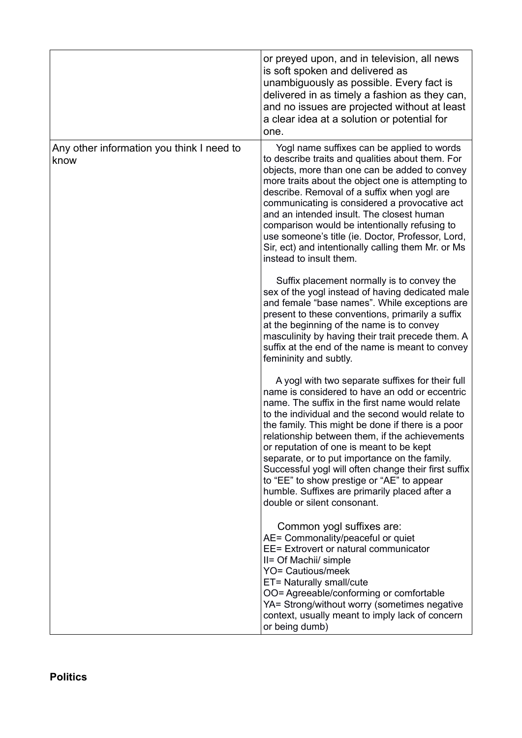|                                                   | or preyed upon, and in television, all news<br>is soft spoken and delivered as<br>unambiguously as possible. Every fact is<br>delivered in as timely a fashion as they can,<br>and no issues are projected without at least<br>a clear idea at a solution or potential for<br>one.                                                                                                                                                                                                                                                                                                                  |
|---------------------------------------------------|-----------------------------------------------------------------------------------------------------------------------------------------------------------------------------------------------------------------------------------------------------------------------------------------------------------------------------------------------------------------------------------------------------------------------------------------------------------------------------------------------------------------------------------------------------------------------------------------------------|
| Any other information you think I need to<br>know | Yogl name suffixes can be applied to words<br>to describe traits and qualities about them. For<br>objects, more than one can be added to convey<br>more traits about the object one is attempting to<br>describe. Removal of a suffix when yogl are<br>communicating is considered a provocative act<br>and an intended insult. The closest human<br>comparison would be intentionally refusing to<br>use someone's title (ie. Doctor, Professor, Lord,<br>Sir, ect) and intentionally calling them Mr. or Ms<br>instead to insult them.                                                            |
|                                                   | Suffix placement normally is to convey the<br>sex of the yogl instead of having dedicated male<br>and female "base names". While exceptions are<br>present to these conventions, primarily a suffix<br>at the beginning of the name is to convey<br>masculinity by having their trait precede them. A<br>suffix at the end of the name is meant to convey<br>femininity and subtly.                                                                                                                                                                                                                 |
|                                                   | A yogl with two separate suffixes for their full<br>name is considered to have an odd or eccentric<br>name. The suffix in the first name would relate<br>to the individual and the second would relate to<br>the family. This might be done if there is a poor<br>relationship between them, if the achievements<br>or reputation of one is meant to be kept<br>separate, or to put importance on the family.<br>Successful yogl will often change their first suffix<br>to "EE" to show prestige or "AE" to appear<br>humble. Suffixes are primarily placed after a<br>double or silent consonant. |
|                                                   | Common yogl suffixes are:<br>AE= Commonality/peaceful or quiet<br>EE= Extrovert or natural communicator<br>II= Of Machii/ simple<br><b>YO= Cautious/meek</b><br>ET= Naturally small/cute<br>OO= Agreeable/conforming or comfortable<br>YA= Strong/without worry (sometimes negative<br>context, usually meant to imply lack of concern<br>or being dumb)                                                                                                                                                                                                                                            |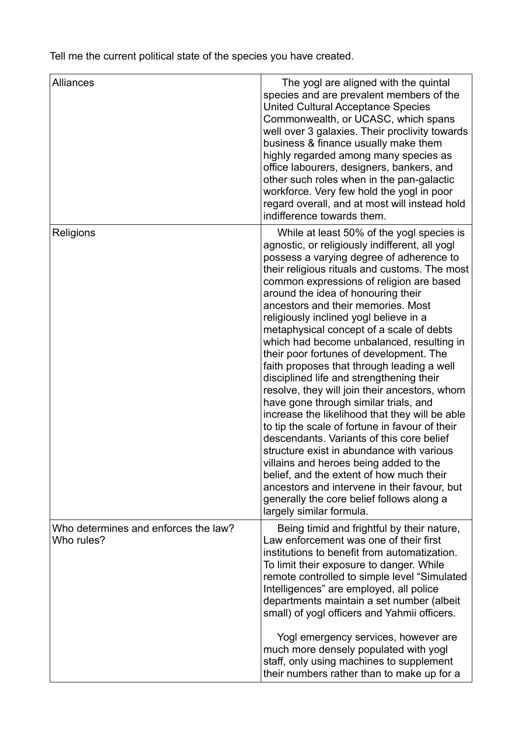Tell me the current political state of the species you have created.

| <b>Alliances</b>                                   | The yogl are aligned with the quintal<br>species and are prevalent members of the<br><b>United Cultural Acceptance Species</b><br>Commonwealth, or UCASC, which spans<br>well over 3 galaxies. Their proclivity towards<br>business & finance usually make them<br>highly regarded among many species as<br>office labourers, designers, bankers, and<br>other such roles when in the pan-galactic<br>workforce. Very few hold the yogl in poor<br>regard overall, and at most will instead hold<br>indifference towards them.                                                                                                                                                                                                                                                                                                                                                                                                                                                                                                                                                                  |
|----------------------------------------------------|-------------------------------------------------------------------------------------------------------------------------------------------------------------------------------------------------------------------------------------------------------------------------------------------------------------------------------------------------------------------------------------------------------------------------------------------------------------------------------------------------------------------------------------------------------------------------------------------------------------------------------------------------------------------------------------------------------------------------------------------------------------------------------------------------------------------------------------------------------------------------------------------------------------------------------------------------------------------------------------------------------------------------------------------------------------------------------------------------|
| Religions                                          | While at least 50% of the yogl species is<br>agnostic, or religiously indifferent, all yogl<br>possess a varying degree of adherence to<br>their religious rituals and customs. The most<br>common expressions of religion are based<br>around the idea of honouring their<br>ancestors and their memories. Most<br>religiously inclined yogl believe in a<br>metaphysical concept of a scale of debts<br>which had become unbalanced, resulting in<br>their poor fortunes of development. The<br>faith proposes that through leading a well<br>disciplined life and strengthening their<br>resolve, they will join their ancestors, whom<br>have gone through similar trials, and<br>increase the likelihood that they will be able<br>to tip the scale of fortune in favour of their<br>descendants. Variants of this core belief<br>structure exist in abundance with various<br>villains and heroes being added to the<br>belief, and the extent of how much their<br>ancestors and intervene in their favour, but<br>generally the core belief follows along a<br>largely similar formula. |
| Who determines and enforces the law?<br>Who rules? | Being timid and frightful by their nature,<br>Law enforcement was one of their first<br>institutions to benefit from automatization.<br>To limit their exposure to danger. While<br>remote controlled to simple level "Simulated<br>Intelligences" are employed, all police<br>departments maintain a set number (albeit<br>small) of yogl officers and Yahmii officers.<br>Yogl emergency services, however are<br>much more densely populated with yogl<br>staff, only using machines to supplement<br>their numbers rather than to make up for a                                                                                                                                                                                                                                                                                                                                                                                                                                                                                                                                             |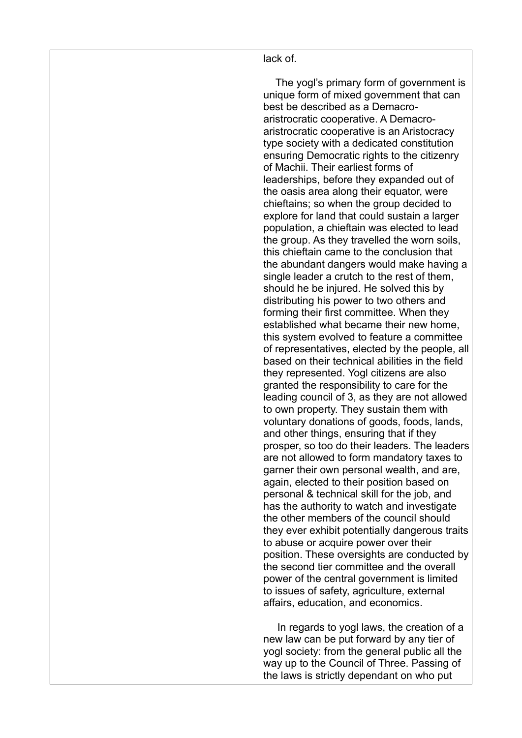#### lack of.

    The yogl's primary form of government is unique form of mixed government that can best be described as a Demacroaristrocratic cooperative. A Demacroaristrocratic cooperative is an Aristocracy type society with a dedicated constitution ensuring Democratic rights to the citizenry of Machii. Their earliest forms of leaderships, before they expanded out of the oasis area along their equator, were chieftains; so when the group decided to explore for land that could sustain a larger population, a chieftain was elected to lead the group. As they travelled the worn soils, this chieftain came to the conclusion that the abundant dangers would make having a single leader a crutch to the rest of them, should he be injured. He solved this by distributing his power to two others and forming their first committee. When they established what became their new home, this system evolved to feature a committee of representatives, elected by the people, all based on their technical abilities in the field they represented. Yogl citizens are also granted the responsibility to care for the leading council of 3, as they are not allowed to own property. They sustain them with voluntary donations of goods, foods, lands, and other things, ensuring that if they prosper, so too do their leaders. The leaders are not allowed to form mandatory taxes to garner their own personal wealth, and are, again, elected to their position based on personal & technical skill for the job, and has the authority to watch and investigate the other members of the council should they ever exhibit potentially dangerous traits to abuse or acquire power over their position. These oversights are conducted by the second tier committee and the overall power of the central government is limited to issues of safety, agriculture, external affairs, education, and economics.

      In regards to yogl laws, the creation of a new law can be put forward by any tier of yogl society: from the general public all the way up to the Council of Three. Passing of the laws is strictly dependant on who put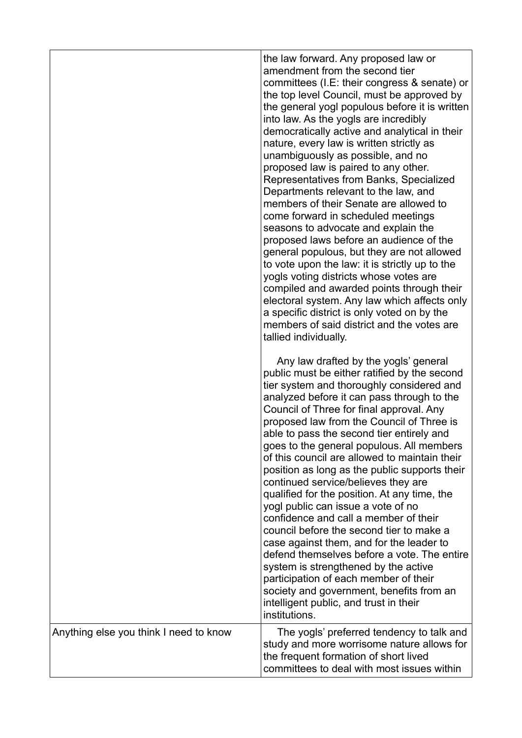|                                        | the law forward. Any proposed law or<br>amendment from the second tier<br>committees (I.E: their congress & senate) or<br>the top level Council, must be approved by<br>the general yogl populous before it is written<br>into law. As the yogls are incredibly<br>democratically active and analytical in their<br>nature, every law is written strictly as<br>unambiguously as possible, and no<br>proposed law is paired to any other.<br>Representatives from Banks, Specialized<br>Departments relevant to the law, and<br>members of their Senate are allowed to<br>come forward in scheduled meetings<br>seasons to advocate and explain the<br>proposed laws before an audience of the<br>general populous, but they are not allowed<br>to vote upon the law: it is strictly up to the<br>yogls voting districts whose votes are<br>compiled and awarded points through their<br>electoral system. Any law which affects only<br>a specific district is only voted on by the<br>members of said district and the votes are<br>tallied individually.<br>Any law drafted by the yogls' general<br>public must be either ratified by the second<br>tier system and thoroughly considered and<br>analyzed before it can pass through to the<br>Council of Three for final approval. Any<br>proposed law from the Council of Three is<br>able to pass the second tier entirely and<br>goes to the general populous. All members<br>of this council are allowed to maintain their<br>position as long as the public supports their<br>continued service/believes they are<br>qualified for the position. At any time, the<br>yogl public can issue a vote of no<br>confidence and call a member of their<br>council before the second tier to make a<br>case against them, and for the leader to<br>defend themselves before a vote. The entire<br>system is strengthened by the active<br>participation of each member of their<br>society and government, benefits from an |
|----------------------------------------|--------------------------------------------------------------------------------------------------------------------------------------------------------------------------------------------------------------------------------------------------------------------------------------------------------------------------------------------------------------------------------------------------------------------------------------------------------------------------------------------------------------------------------------------------------------------------------------------------------------------------------------------------------------------------------------------------------------------------------------------------------------------------------------------------------------------------------------------------------------------------------------------------------------------------------------------------------------------------------------------------------------------------------------------------------------------------------------------------------------------------------------------------------------------------------------------------------------------------------------------------------------------------------------------------------------------------------------------------------------------------------------------------------------------------------------------------------------------------------------------------------------------------------------------------------------------------------------------------------------------------------------------------------------------------------------------------------------------------------------------------------------------------------------------------------------------------------------------------------------------------------------------------------------------------------------------------------------------------------|
|                                        | intelligent public, and trust in their<br>institutions.                                                                                                                                                                                                                                                                                                                                                                                                                                                                                                                                                                                                                                                                                                                                                                                                                                                                                                                                                                                                                                                                                                                                                                                                                                                                                                                                                                                                                                                                                                                                                                                                                                                                                                                                                                                                                                                                                                                        |
| Anything else you think I need to know | The yogls' preferred tendency to talk and<br>study and more worrisome nature allows for<br>the frequent formation of short lived<br>committees to deal with most issues within                                                                                                                                                                                                                                                                                                                                                                                                                                                                                                                                                                                                                                                                                                                                                                                                                                                                                                                                                                                                                                                                                                                                                                                                                                                                                                                                                                                                                                                                                                                                                                                                                                                                                                                                                                                                 |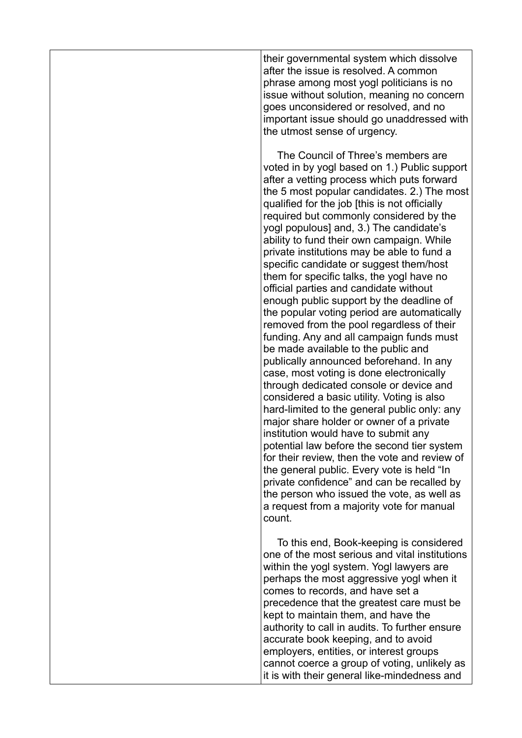their governmental system which dissolve after the issue is resolved. A common phrase among most yogl politicians is no issue without solution, meaning no concern goes unconsidered or resolved, and no important issue should go unaddressed with the utmost sense of urgency.

      The Council of Three's members are voted in by yogl based on 1.) Public support after a vetting process which puts forward the 5 most popular candidates. 2.) The most qualified for the job [this is not officially required but commonly considered by the yogl populous] and, 3.) The candidate's ability to fund their own campaign. While private institutions may be able to fund a specific candidate or suggest them/host them for specific talks, the yogl have no official parties and candidate without enough public support by the deadline of the popular voting period are automatically removed from the pool regardless of their funding. Any and all campaign funds must be made available to the public and publically announced beforehand. In any case, most voting is done electronically through dedicated console or device and considered a basic utility. Voting is also hard-limited to the general public only: any major share holder or owner of a private institution would have to submit any potential law before the second tier system for their review, then the vote and review of the general public. Every vote is held "In private confidence" and can be recalled by the person who issued the vote, as well as a request from a majority vote for manual count.

      To this end, Book-keeping is considered one of the most serious and vital institutions within the yogl system. Yogl lawyers are perhaps the most aggressive yogl when it comes to records, and have set a precedence that the greatest care must be kept to maintain them, and have the authority to call in audits. To further ensure accurate book keeping, and to avoid employers, entities, or interest groups cannot coerce a group of voting, unlikely as it is with their general like-mindedness and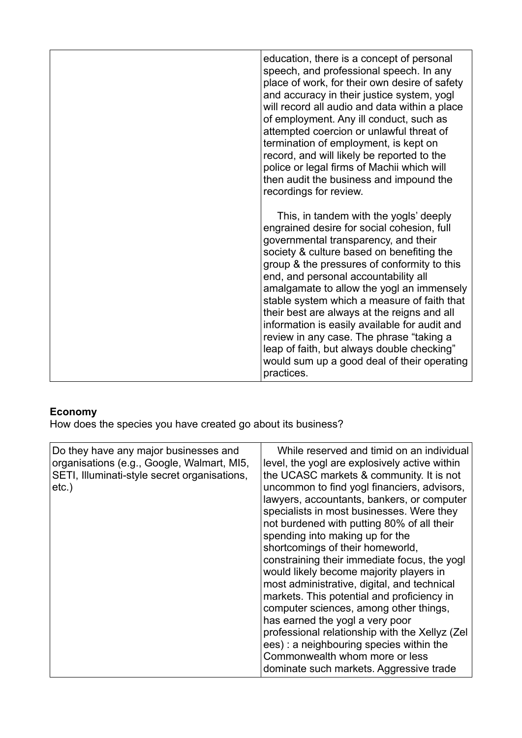| education, there is a concept of personal<br>speech, and professional speech. In any<br>place of work, for their own desire of safety<br>and accuracy in their justice system, yogl<br>will record all audio and data within a place<br>of employment. Any ill conduct, such as<br>attempted coercion or unlawful threat of<br>termination of employment, is kept on<br>record, and will likely be reported to the<br>police or legal firms of Machii which will<br>then audit the business and impound the<br>recordings for review.                                                                               |
|---------------------------------------------------------------------------------------------------------------------------------------------------------------------------------------------------------------------------------------------------------------------------------------------------------------------------------------------------------------------------------------------------------------------------------------------------------------------------------------------------------------------------------------------------------------------------------------------------------------------|
| This, in tandem with the yogls' deeply<br>engrained desire for social cohesion, full<br>governmental transparency, and their<br>society & culture based on benefiting the<br>group & the pressures of conformity to this<br>end, and personal accountability all<br>amalgamate to allow the yogl an immensely<br>stable system which a measure of faith that<br>their best are always at the reigns and all<br>information is easily available for audit and<br>review in any case. The phrase "taking a<br>leap of faith, but always double checking"<br>would sum up a good deal of their operating<br>practices. |

## **Economy**

How does the species you have created go about its business?

| Do they have any major businesses and<br>organisations (e.g., Google, Walmart, MI5,<br>SETI, Illuminati-style secret organisations,<br>$etc.$ ) | While reserved and timid on an individual<br>level, the yogl are explosively active within<br>the UCASC markets & community. It is not<br>uncommon to find yogl financiers, advisors,<br>lawyers, accountants, bankers, or computer<br>specialists in most businesses. Were they<br>not burdened with putting 80% of all their<br>spending into making up for the<br>shortcomings of their homeworld,<br>constraining their immediate focus, the yogl<br>would likely become majority players in<br>most administrative, digital, and technical<br>markets. This potential and proficiency in<br>computer sciences, among other things,<br>has earned the yogl a very poor<br>professional relationship with the Xellyz (Zel<br>ees) : a neighbouring species within the<br>Commonwealth whom more or less<br>dominate such markets. Aggressive trade |
|-------------------------------------------------------------------------------------------------------------------------------------------------|-------------------------------------------------------------------------------------------------------------------------------------------------------------------------------------------------------------------------------------------------------------------------------------------------------------------------------------------------------------------------------------------------------------------------------------------------------------------------------------------------------------------------------------------------------------------------------------------------------------------------------------------------------------------------------------------------------------------------------------------------------------------------------------------------------------------------------------------------------|
|-------------------------------------------------------------------------------------------------------------------------------------------------|-------------------------------------------------------------------------------------------------------------------------------------------------------------------------------------------------------------------------------------------------------------------------------------------------------------------------------------------------------------------------------------------------------------------------------------------------------------------------------------------------------------------------------------------------------------------------------------------------------------------------------------------------------------------------------------------------------------------------------------------------------------------------------------------------------------------------------------------------------|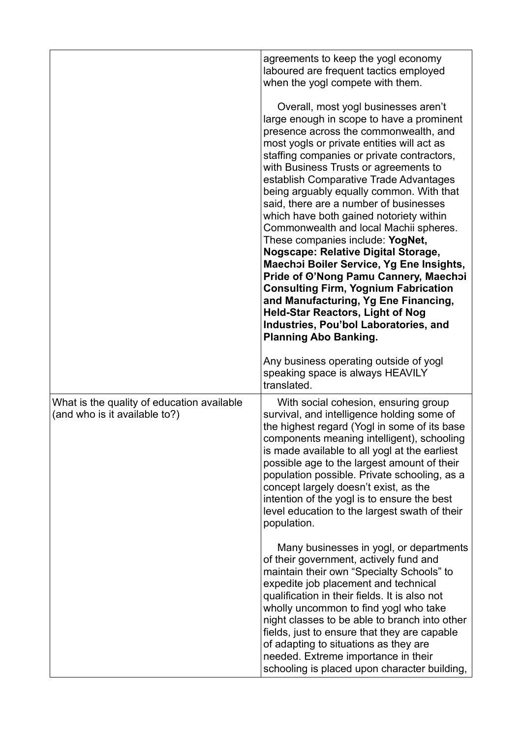|                                                                             | agreements to keep the yogl economy                                                                                                                                                                                                                                                                                                                                                                                                                                                                                                                                                                                                                                                                                                                                                                                                                                    |
|-----------------------------------------------------------------------------|------------------------------------------------------------------------------------------------------------------------------------------------------------------------------------------------------------------------------------------------------------------------------------------------------------------------------------------------------------------------------------------------------------------------------------------------------------------------------------------------------------------------------------------------------------------------------------------------------------------------------------------------------------------------------------------------------------------------------------------------------------------------------------------------------------------------------------------------------------------------|
|                                                                             | laboured are frequent tactics employed<br>when the yogl compete with them.                                                                                                                                                                                                                                                                                                                                                                                                                                                                                                                                                                                                                                                                                                                                                                                             |
|                                                                             | Overall, most yogl businesses aren't<br>large enough in scope to have a prominent<br>presence across the commonwealth, and<br>most yogls or private entities will act as<br>staffing companies or private contractors,<br>with Business Trusts or agreements to<br>establish Comparative Trade Advantages<br>being arguably equally common. With that<br>said, there are a number of businesses<br>which have both gained notoriety within<br>Commonwealth and local Machii spheres.<br>These companies include: YogNet,<br><b>Nogscape: Relative Digital Storage,</b><br>Maechoi Boiler Service, Yg Ene Insights,<br>Pride of O'Nong Pamu Cannery, Maechoi<br><b>Consulting Firm, Yognium Fabrication</b><br>and Manufacturing, Yg Ene Financing,<br><b>Held-Star Reactors, Light of Nog</b><br>Industries, Pou'bol Laboratories, and<br><b>Planning Abo Banking.</b> |
|                                                                             | Any business operating outside of yogl<br>speaking space is always HEAVILY<br>translated.                                                                                                                                                                                                                                                                                                                                                                                                                                                                                                                                                                                                                                                                                                                                                                              |
| What is the quality of education available<br>(and who is it available to?) | With social cohesion, ensuring group<br>survival, and intelligence holding some of<br>the highest regard (Yogl in some of its base<br>components meaning intelligent), schooling<br>is made available to all yogl at the earliest<br>possible age to the largest amount of their<br>population possible. Private schooling, as a<br>concept largely doesn't exist, as the<br>intention of the yogl is to ensure the best<br>level education to the largest swath of their<br>population.                                                                                                                                                                                                                                                                                                                                                                               |
|                                                                             | Many businesses in yogl, or departments<br>of their government, actively fund and<br>maintain their own "Specialty Schools" to<br>expedite job placement and technical<br>qualification in their fields. It is also not<br>wholly uncommon to find yogl who take<br>night classes to be able to branch into other<br>fields, just to ensure that they are capable<br>of adapting to situations as they are<br>needed. Extreme importance in their<br>schooling is placed upon character building,                                                                                                                                                                                                                                                                                                                                                                      |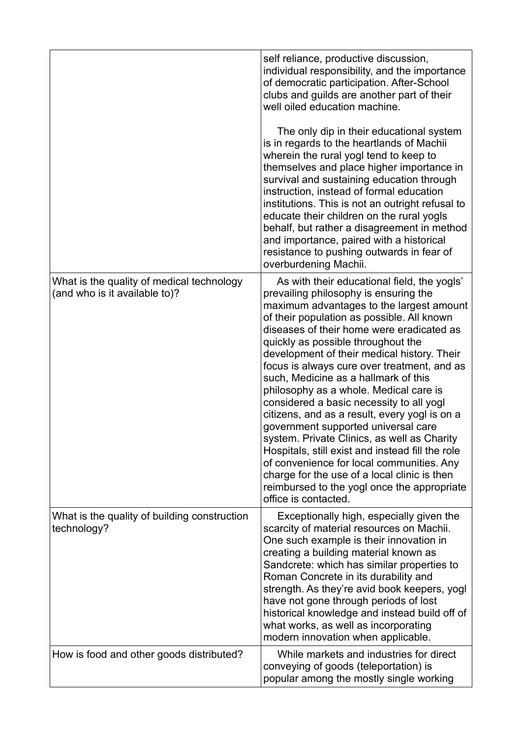|                                                                            | self reliance, productive discussion,<br>individual responsibility, and the importance<br>of democratic participation. After-School<br>clubs and guilds are another part of their<br>well oiled education machine.<br>The only dip in their educational system                                                                                                                                                                                                                                                                                                                                                                                                                                                                                                                                                                                               |
|----------------------------------------------------------------------------|--------------------------------------------------------------------------------------------------------------------------------------------------------------------------------------------------------------------------------------------------------------------------------------------------------------------------------------------------------------------------------------------------------------------------------------------------------------------------------------------------------------------------------------------------------------------------------------------------------------------------------------------------------------------------------------------------------------------------------------------------------------------------------------------------------------------------------------------------------------|
|                                                                            | is in regards to the heartlands of Machii<br>wherein the rural yogl tend to keep to<br>themselves and place higher importance in<br>survival and sustaining education through<br>instruction, instead of formal education<br>institutions. This is not an outright refusal to<br>educate their children on the rural yogls<br>behalf, but rather a disagreement in method<br>and importance, paired with a historical<br>resistance to pushing outwards in fear of<br>overburdening Machii.                                                                                                                                                                                                                                                                                                                                                                  |
| What is the quality of medical technology<br>(and who is it available to)? | As with their educational field, the yogls'<br>prevailing philosophy is ensuring the<br>maximum advantages to the largest amount<br>of their population as possible. All known<br>diseases of their home were eradicated as<br>quickly as possible throughout the<br>development of their medical history. Their<br>focus is always cure over treatment, and as<br>such, Medicine as a hallmark of this<br>philosophy as a whole. Medical care is<br>considered a basic necessity to all yogl<br>citizens, and as a result, every yogl is on a<br>government supported universal care<br>system. Private Clinics, as well as Charity<br>Hospitals, still exist and instead fill the role<br>of convenience for local communities. Any<br>charge for the use of a local clinic is then<br>reimbursed to the yogl once the appropriate<br>office is contacted. |
| What is the quality of building construction<br>technology?                | Exceptionally high, especially given the<br>scarcity of material resources on Machii.<br>One such example is their innovation in<br>creating a building material known as<br>Sandcrete: which has similar properties to<br>Roman Concrete in its durability and<br>strength. As they're avid book keepers, yogl<br>have not gone through periods of lost<br>historical knowledge and instead build off of<br>what works, as well as incorporating<br>modern innovation when applicable.                                                                                                                                                                                                                                                                                                                                                                      |
| How is food and other goods distributed?                                   | While markets and industries for direct<br>conveying of goods (teleportation) is<br>popular among the mostly single working                                                                                                                                                                                                                                                                                                                                                                                                                                                                                                                                                                                                                                                                                                                                  |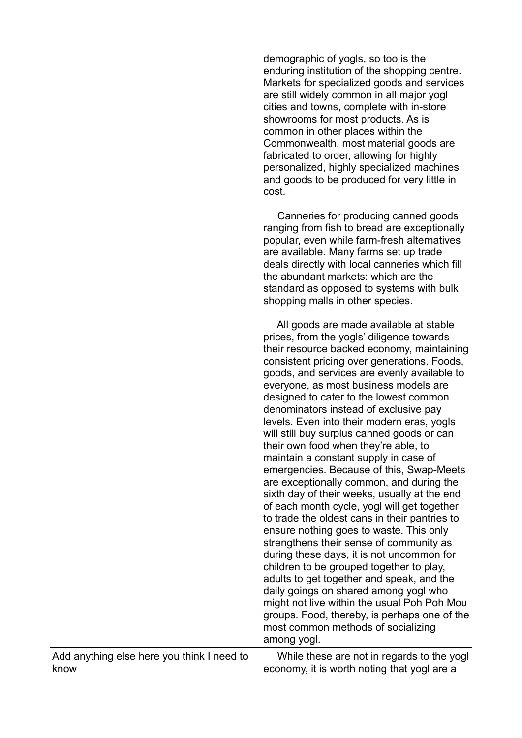|                                                    | demographic of yogls, so too is the<br>enduring institution of the shopping centre.<br>Markets for specialized goods and services<br>are still widely common in all major yogl<br>cities and towns, complete with in-store<br>showrooms for most products. As is<br>common in other places within the<br>Commonwealth, most material goods are<br>fabricated to order, allowing for highly<br>personalized, highly specialized machines<br>and goods to be produced for very little in<br>cost.                                                                                                                                                                                                                                                                                                                                                                                                                                                                                                                                                                                                                                                                                                           |
|----------------------------------------------------|-----------------------------------------------------------------------------------------------------------------------------------------------------------------------------------------------------------------------------------------------------------------------------------------------------------------------------------------------------------------------------------------------------------------------------------------------------------------------------------------------------------------------------------------------------------------------------------------------------------------------------------------------------------------------------------------------------------------------------------------------------------------------------------------------------------------------------------------------------------------------------------------------------------------------------------------------------------------------------------------------------------------------------------------------------------------------------------------------------------------------------------------------------------------------------------------------------------|
|                                                    | Canneries for producing canned goods<br>ranging from fish to bread are exceptionally<br>popular, even while farm-fresh alternatives<br>are available. Many farms set up trade<br>deals directly with local canneries which fill<br>the abundant markets: which are the<br>standard as opposed to systems with bulk<br>shopping malls in other species.                                                                                                                                                                                                                                                                                                                                                                                                                                                                                                                                                                                                                                                                                                                                                                                                                                                    |
|                                                    | All goods are made available at stable<br>prices, from the yogls' diligence towards<br>their resource backed economy, maintaining<br>consistent pricing over generations. Foods,<br>goods, and services are evenly available to<br>everyone, as most business models are<br>designed to cater to the lowest common<br>denominators instead of exclusive pay<br>levels. Even into their modern eras, yogls<br>will still buy surplus canned goods or can<br>their own food when they're able, to<br>maintain a constant supply in case of<br>emergencies. Because of this, Swap-Meets<br>are exceptionally common, and during the<br>sixth day of their weeks, usually at the end<br>of each month cycle, yogl will get together<br>to trade the oldest cans in their pantries to<br>ensure nothing goes to waste. This only<br>strengthens their sense of community as<br>during these days, it is not uncommon for<br>children to be grouped together to play,<br>adults to get together and speak, and the<br>daily goings on shared among yogl who<br>might not live within the usual Poh Poh Mou<br>groups. Food, thereby, is perhaps one of the<br>most common methods of socializing<br>among yogl. |
| Add anything else here you think I need to<br>know | While these are not in regards to the yogl<br>economy, it is worth noting that yogl are a                                                                                                                                                                                                                                                                                                                                                                                                                                                                                                                                                                                                                                                                                                                                                                                                                                                                                                                                                                                                                                                                                                                 |
|                                                    |                                                                                                                                                                                                                                                                                                                                                                                                                                                                                                                                                                                                                                                                                                                                                                                                                                                                                                                                                                                                                                                                                                                                                                                                           |

ן